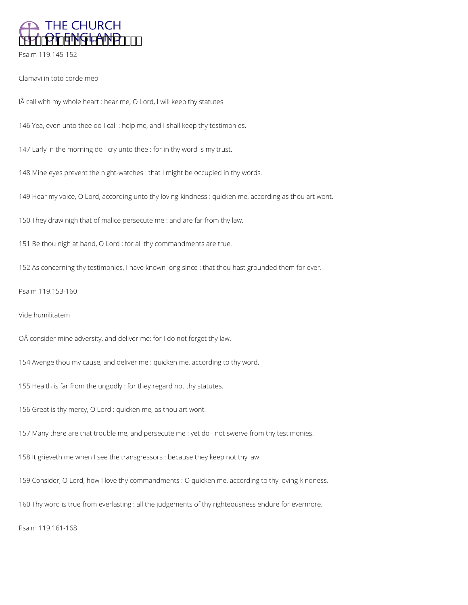

Psalm 119.145-152

Clamavi in toto corde meo

IÂ call with my whole heart : hear me, O Lord, I will keep thy statutes.

146 Yea, even unto thee do I call : help me, and I shall keep thy testimonies.

147 Early in the morning do I cry unto thee : for in thy word is my trust.

148 Mine eyes prevent the night-watches : that I might be occupied in thy words.

149 Hear my voice, O Lord, according unto thy loving-kindness : quicken me, according as thou art wont.

150 They draw nigh that of malice persecute me : and are far from thy law.

151 Be thou nigh at hand, O Lord : for all thy commandments are true.

152 As concerning thy testimonies, I have known long since : that thou hast grounded them for ever.

Psalm 119.153-160

Vide humilitatem

OÂ consider mine adversity, and deliver me: for I do not forget thy law.

154 Avenge thou my cause, and deliver me : quicken me, according to thy word.

155 Health is far from the ungodly : for they regard not thy statutes.

156 Great is thy mercy, O Lord : quicken me, as thou art wont.

157 Many there are that trouble me, and persecute me : yet do I not swerve from thy testimonies.

158 It grieveth me when I see the transgressors : because they keep not thy law.

159 Consider, O Lord, how I love thy commandments : O quicken me, according to thy loving-kindness.

160 Thy word is true from everlasting : all the judgements of thy righteousness endure for evermore.

Psalm 119.161-168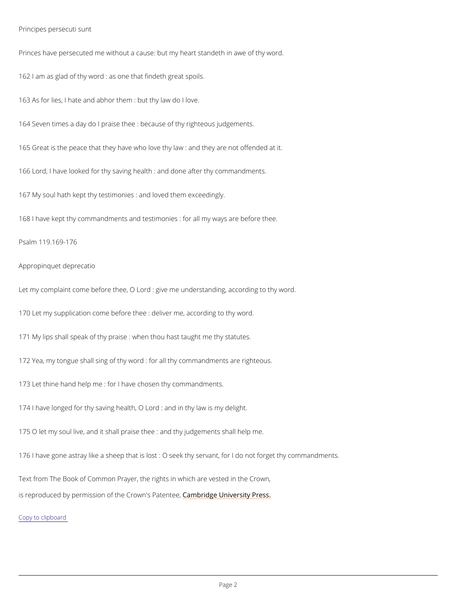Principes persecuti sunt

Princes ve persecuted me without a cause: but my heart standeth in awe of thy word.

162 I am as glad of thy word : as one that findeth great spoils.

163As for lies, I hate and abhor them : but thy law do I love.

164 Seven times a day do I praise thee : because of thy righteous judgements.

165 Great is the peace that they have who love thy law : and they are not offended at it.

166 Lord, I have looked for thy saving health : and done after thy commandments.

167 My soul hath kept thy testimonies : and loved them exceedingly.

168 have kept thy commandments and testimonies : for all my ways are before thee.

Psalm 119.169-176

Appropinquet deprecatio

Letmy complaint come before thee, O Lord : give me understanding, according to thy word. 170 Let my supplication come before thee : deliver me, according to thy word. 171 My lips shall speak of thy praise : when thou hast taught me thy statutes. 172 Yea, my tongue shall sing of thy word : for all thy commandments are righteous. 173 Let thine hand help me : for I have chosen thy commandments. 174 have longed for thy saving health, O Lord : and in thy law is my delight.

1750 let my soul live, and it shall praise thee : and thy judgements shall help me.

176 have gone astray like a sheep that is lost : O seek thy servant, for I do not forget thy c

Text from The Book of Common Prayer, the rights in which are vested in the Crown,

is reproduced by permission of the C  $\epsilon$  mobw ind geP bline in tere, ity Press.

Copy to clipboard